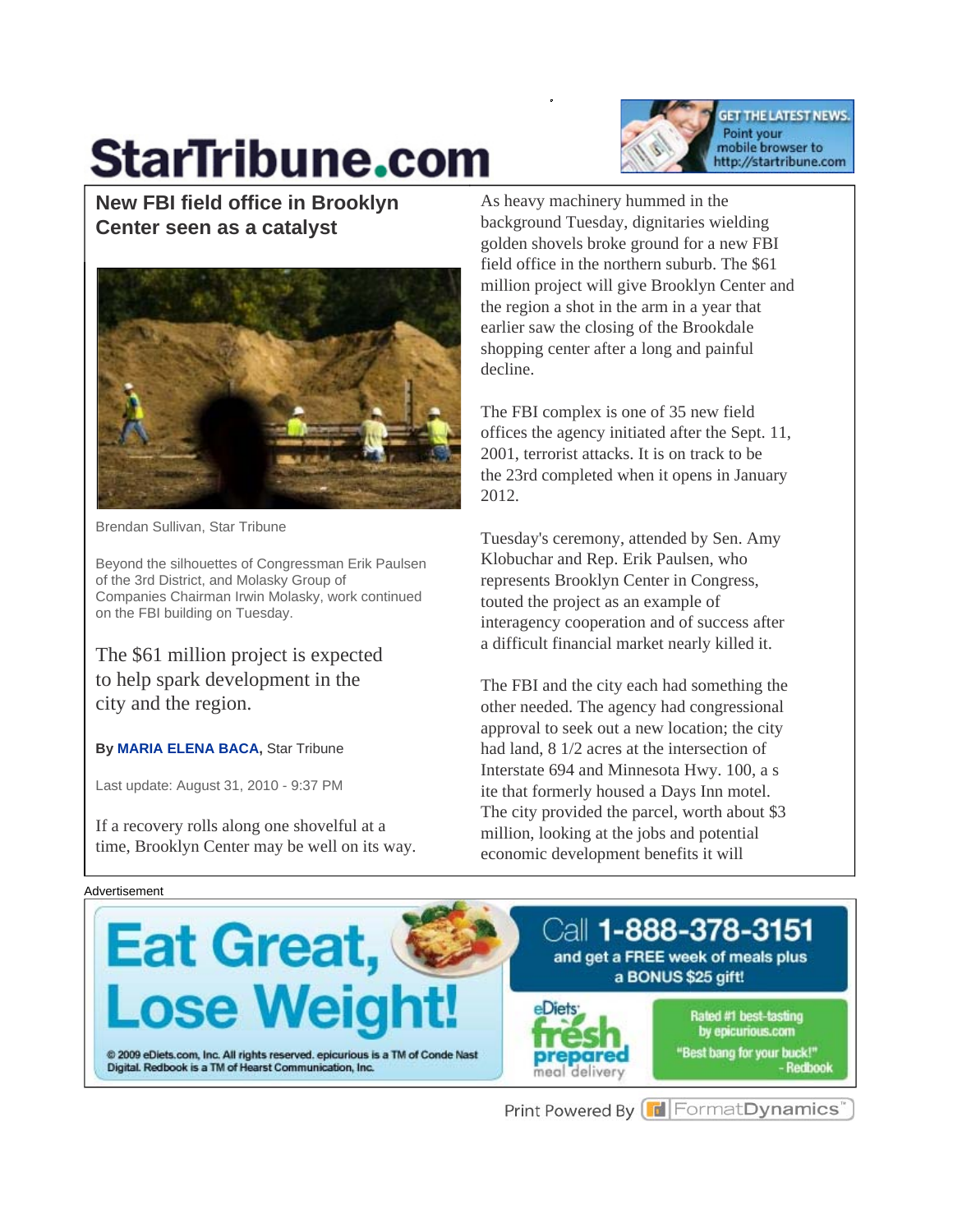# **StarTribune.com**



**New FBI field office in Brooklyn Center seen as a catalyst** 



Brendan Sullivan, Star Tribune

Beyond the silhouettes of Congressman Erik Paulsen of the 3rd District, and Molasky Group of Companies Chairman Irwin Molasky, work continued on the FBI building on Tuesday.

The \$61 million project is expected to help spark development in the city and the region.

#### **By MARIA ELENA BACA,** Star Tribune

Last update: August 31, 2010 - 9:37 PM

If a recovery rolls along one shovelful at a time, Brooklyn Center may be well on its way.

As heavy machinery hummed in the background Tuesday, dignitaries wielding golden shovels broke ground for a new FBI field office in the northern suburb. The \$61 million project will give Brooklyn Center and the region a shot in the arm in a year that earlier saw the closing of the Brookdale shopping center after a long and painful decline.

The FBI complex is one of 35 new field offices the agency initiated after the Sept. 11, 2001, terrorist attacks. It is on track to be the 23rd completed when it opens in January 2012.

Tuesday's ceremony, attended by Sen. Amy Klobuchar and Rep. Erik Paulsen, who represents Brooklyn Center in Congress, touted the project as an example of interagency cooperation and of success after a difficult financial market nearly killed it.

The FBI and the city each had something the other needed. The agency had congressional approval to seek out a new location; the city had land, 8 1/2 acres at the intersection of Interstate 694 and Minnesota Hwy. 100, a s ite that formerly housed a Days Inn motel. The city provided the parcel, worth about \$3 million, looking at the jobs and potential economic development benefits it will

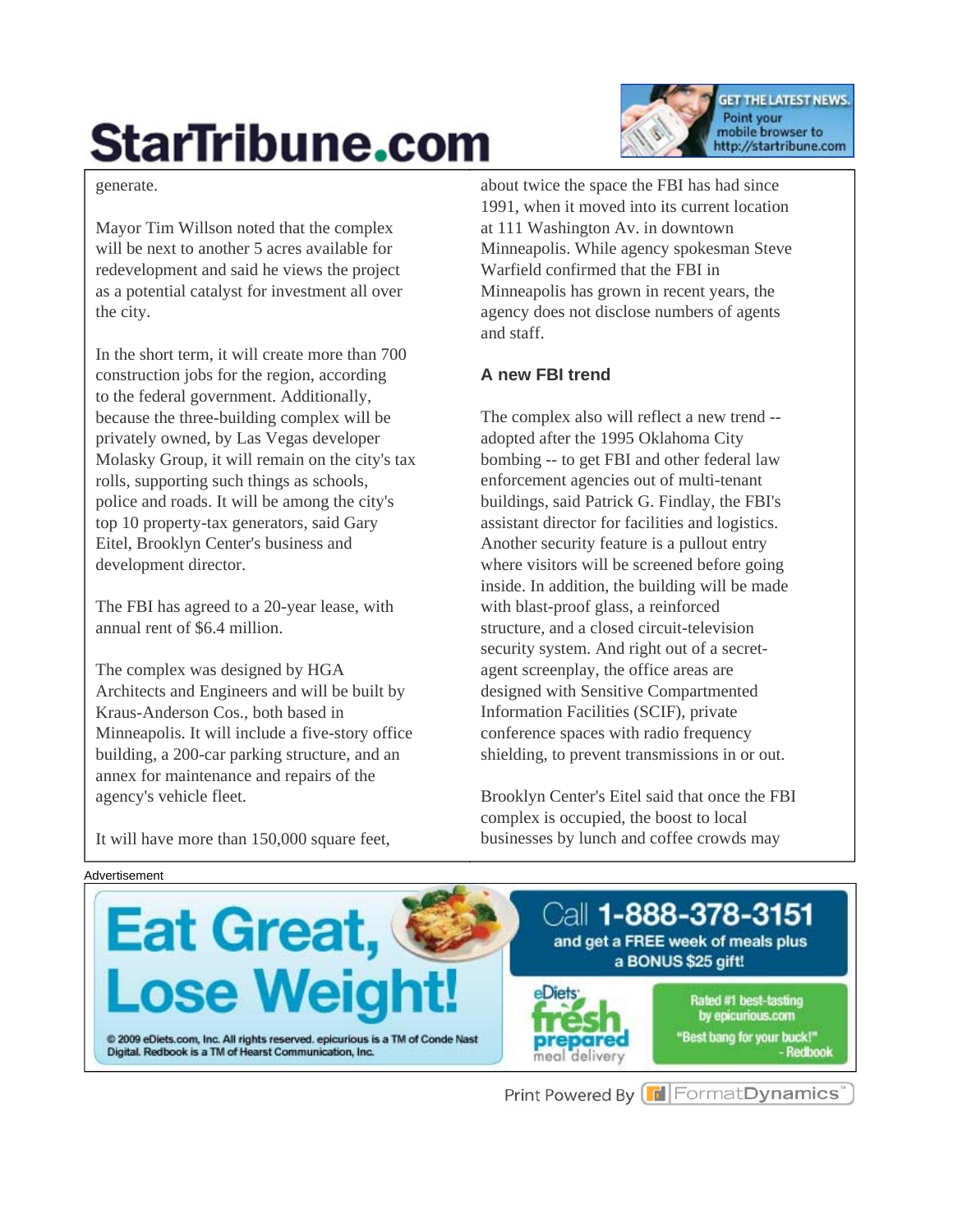# **StarTribune.com**

generate.

Mayor Tim Willson noted that the complex will be next to another 5 acres available for redevelopment and said he views the project as a potential catalyst for investment all over the city.

In the short term, it will create more than 700 construction jobs for the region, according to the federal government. Additionally, because the three-building complex will be privately owned, by Las Vegas developer Molasky Group, it will remain on the city's tax rolls, supporting such things as schools, police and roads. It will be among the city's top 10 property-tax generators, said Gary Eitel, Brooklyn Center's business and development director.

The FBI has agreed to a 20-year lease, with annual rent of \$6.4 million.

The complex was designed by HGA Architects and Engineers and will be built by Kraus-Anderson Cos., both based in Minneapolis. It will include a five-story office building, a 200-car parking structure, and an annex for maintenance and repairs of the agency's vehicle fleet.

about twice the space the FBI has had since 1991, when it moved into its current location at 111 Washington Av. in downtown Minneapolis. While agency spokesman Steve Warfield confirmed that the FBI in Minneapolis has grown in recent years, the agency does not disclose numbers of agents and staff.

**GET THE LATEST NEWS.** 

http://startribune.com

Point your mobile browser to

#### **A new FBI trend**

The complex also will reflect a new trend - adopted after the 1995 Oklahoma City bombing -- to get FBI and other federal law enforcement agencies out of multi-tenant buildings, said Patrick G. Findlay, the FBI's assistant director for facilities and logistics. Another security feature is a pullout entry where visitors will be screened before going inside. In addition, the building will be made with blast-proof glass, a reinforced structure, and a closed circuit-television security system. And right out of a secretagent screenplay, the office areas are designed with Sensitive Compartmented Information Facilities (SCIF), private conference spaces with radio frequency shielding, to prevent transmissions in or out.

Brooklyn Center's Eitel said that once the FBI complex is occupied, the boost to local businesses by lunch and coffee crowds may

It will have more than 150,000 square feet,



Print Powered By **F** Format Dynamics'